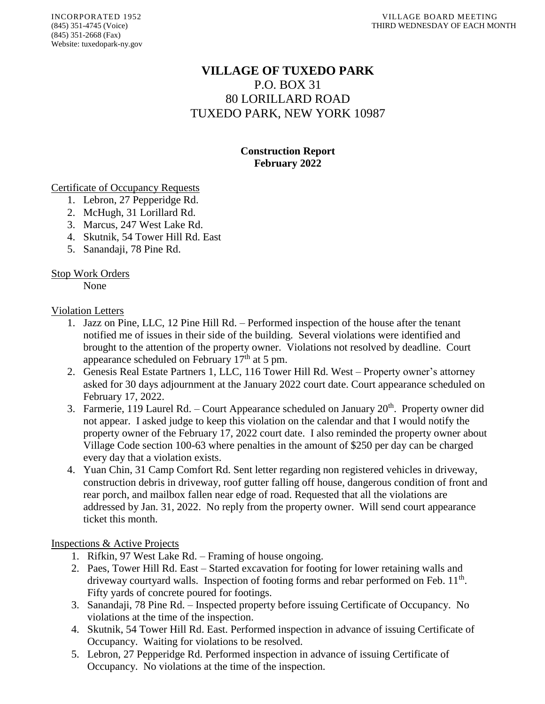# **VILLAGE OF TUXEDO PARK** P.O. BOX 31 80 LORILLARD ROAD TUXEDO PARK, NEW YORK 10987

# **Construction Report February 2022**

Certificate of Occupancy Requests

- 1. Lebron, 27 Pepperidge Rd.
- 2. McHugh, 31 Lorillard Rd.
- 3. Marcus, 247 West Lake Rd.
- 4. Skutnik, 54 Tower Hill Rd. East
- 5. Sanandaji, 78 Pine Rd.

## Stop Work Orders

None

#### Violation Letters

- 1. Jazz on Pine, LLC, 12 Pine Hill Rd. Performed inspection of the house after the tenant notified me of issues in their side of the building. Several violations were identified and brought to the attention of the property owner. Violations not resolved by deadline. Court appearance scheduled on February  $17<sup>th</sup>$  at 5 pm.
- 2. Genesis Real Estate Partners 1, LLC, 116 Tower Hill Rd. West Property owner's attorney asked for 30 days adjournment at the January 2022 court date. Court appearance scheduled on February 17, 2022.
- 3. Farmerie, 119 Laurel Rd. Court Appearance scheduled on January  $20<sup>th</sup>$ . Property owner did not appear. I asked judge to keep this violation on the calendar and that I would notify the property owner of the February 17, 2022 court date. I also reminded the property owner about Village Code section 100-63 where penalties in the amount of \$250 per day can be charged every day that a violation exists.
- 4. Yuan Chin, 31 Camp Comfort Rd. Sent letter regarding non registered vehicles in driveway, construction debris in driveway, roof gutter falling off house, dangerous condition of front and rear porch, and mailbox fallen near edge of road. Requested that all the violations are addressed by Jan. 31, 2022. No reply from the property owner. Will send court appearance ticket this month.

## Inspections & Active Projects

- 1. Rifkin, 97 West Lake Rd. Framing of house ongoing.
- 2. Paes, Tower Hill Rd. East Started excavation for footing for lower retaining walls and driveway courtyard walls. Inspection of footing forms and rebar performed on Feb. 11<sup>th</sup>. Fifty yards of concrete poured for footings.
- 3. Sanandaji, 78 Pine Rd. Inspected property before issuing Certificate of Occupancy. No violations at the time of the inspection.
- 4. Skutnik, 54 Tower Hill Rd. East. Performed inspection in advance of issuing Certificate of Occupancy. Waiting for violations to be resolved.
- 5. Lebron, 27 Pepperidge Rd. Performed inspection in advance of issuing Certificate of Occupancy. No violations at the time of the inspection.